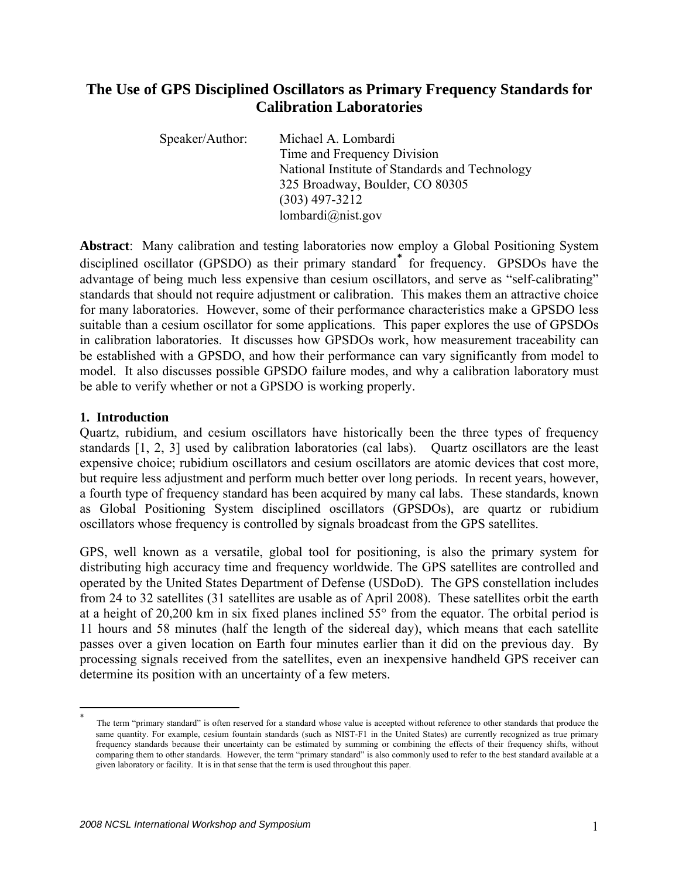## **The Use of GPS Disciplined Oscillators as Primary Frequency Standards for Calibration Laboratories**

Speaker/Author: Michael A. Lombardi Time and Frequency Division National Institute of Standards and Technology 325 Broadway, Boulder, CO 80305 (303) 497-3212 lombardi@nist.gov

**Abstract**: Many calibration and testing laboratories now employ a Global Positioning System disciplined oscillator (GPSDO) as their primary standard**[\\*](#page-0-0)** for frequency. GPSDOs have the advantage of being much less expensive than cesium oscillators, and serve as "self-calibrating" standards that should not require adjustment or calibration. This makes them an attractive choice for many laboratories. However, some of their performance characteristics make a GPSDO less suitable than a cesium oscillator for some applications. This paper explores the use of GPSDOs in calibration laboratories. It discusses how GPSDOs work, how measurement traceability can be established with a GPSDO, and how their performance can vary significantly from model to model. It also discusses possible GPSDO failure modes, and why a calibration laboratory must be able to verify whether or not a GPSDO is working properly.

## **1. Introduction**

<u>.</u>

Quartz, rubidium, and cesium oscillators have historically been the three types of frequency standards [1, 2, 3] used by calibration laboratories (cal labs). Quartz oscillators are the least expensive choice; rubidium oscillators and cesium oscillators are atomic devices that cost more, but require less adjustment and perform much better over long periods. In recent years, however, a fourth type of frequency standard has been acquired by many cal labs. These standards, known as Global Positioning System disciplined oscillators (GPSDOs), are quartz or rubidium oscillators whose frequency is controlled by signals broadcast from the GPS satellites.

GPS, well known as a versatile, global tool for positioning, is also the primary system for distributing high accuracy time and frequency worldwide. The GPS satellites are controlled and operated by the United States Department of Defense (USDoD). The GPS constellation includes from 24 to 32 satellites (31 satellites are usable as of April 2008). These satellites orbit the earth at a height of 20,200 km in six fixed planes inclined 55° from the equator. The orbital period is 11 hours and 58 minutes (half the length of the sidereal day), which means that each satellite passes over a given location on Earth four minutes earlier than it did on the previous day. By processing signals received from the satellites, even an inexpensive handheld GPS receiver can determine its position with an uncertainty of a few meters.

<span id="page-0-0"></span><sup>\*</sup> The term "primary standard" is often reserved for a standard whose value is accepted without reference to other standards that produce the same quantity. For example, cesium fountain standards (such as NIST-F1 in the United States) are currently recognized as true primary frequency standards because their uncertainty can be estimated by summing or combining the effects of their frequency shifts, without comparing them to other standards. However, the term "primary standard" is also commonly used to refer to the best standard available at a given laboratory or facility. It is in that sense that the term is used throughout this paper.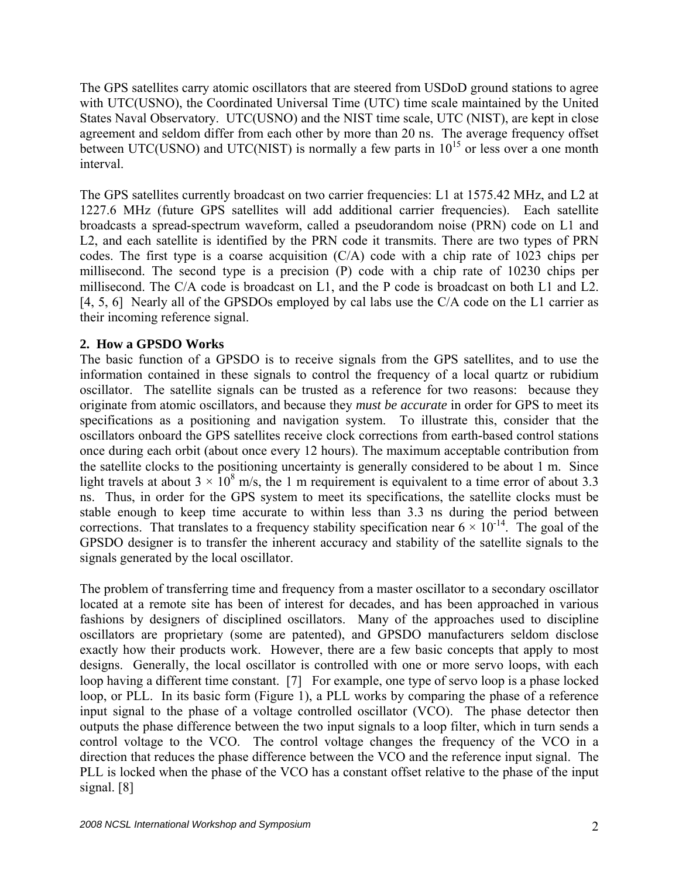The GPS satellites carry atomic oscillators that are steered from USDoD ground stations to agree with UTC(USNO), the Coordinated Universal Time (UTC) time scale maintained by the United States Naval Observatory. UTC(USNO) and the NIST time scale, UTC (NIST), are kept in close agreement and seldom differ from each other by more than 20 ns. The average frequency offset between UTC(USNO) and UTC(NIST) is normally a few parts in  $10^{15}$  or less over a one month interval.

The GPS satellites currently broadcast on two carrier frequencies: L1 at 1575.42 MHz, and L2 at 1227.6 MHz (future GPS satellites will add additional carrier frequencies). Each satellite broadcasts a spread-spectrum waveform, called a pseudorandom noise (PRN) code on L1 and L2, and each satellite is identified by the PRN code it transmits. There are two types of PRN codes. The first type is a coarse acquisition (C/A) code with a chip rate of 1023 chips per millisecond. The second type is a precision (P) code with a chip rate of 10230 chips per millisecond. The C/A code is broadcast on L1, and the P code is broadcast on both L1 and L2. [4, 5, 6] Nearly all of the GPSDOs employed by cal labs use the C/A code on the L1 carrier as their incoming reference signal.

## **2. How a GPSDO Works**

The basic function of a GPSDO is to receive signals from the GPS satellites, and to use the information contained in these signals to control the frequency of a local quartz or rubidium oscillator. The satellite signals can be trusted as a reference for two reasons: because they originate from atomic oscillators, and because they *must be accurate* in order for GPS to meet its specifications as a positioning and navigation system. To illustrate this, consider that the oscillators onboard the GPS satellites receive clock corrections from earth-based control stations once during each orbit (about once every 12 hours). The maximum acceptable contribution from the satellite clocks to the positioning uncertainty is generally considered to be about 1 m. Since light travels at about  $3 \times 10^8$  m/s, the 1 m requirement is equivalent to a time error of about 3.3 ns. Thus, in order for the GPS system to meet its specifications, the satellite clocks must be stable enough to keep time accurate to within less than 3.3 ns during the period between corrections. That translates to a frequency stability specification near  $6 \times 10^{-14}$ . The goal of the GPSDO designer is to transfer the inherent accuracy and stability of the satellite signals to the signals generated by the local oscillator.

The problem of transferring time and frequency from a master oscillator to a secondary oscillator located at a remote site has been of interest for decades, and has been approached in various fashions by designers of disciplined oscillators. Many of the approaches used to discipline oscillators are proprietary (some are patented), and GPSDO manufacturers seldom disclose exactly how their products work. However, there are a few basic concepts that apply to most designs. Generally, the local oscillator is controlled with one or more servo loops, with each loop having a different time constant. [7] For example, one type of servo loop is a phase locked loop, or PLL. In its basic form (Figure 1), a PLL works by comparing the phase of a reference input signal to the phase of a voltage controlled oscillator (VCO). The phase detector then outputs the phase difference between the two input signals to a loop filter, which in turn sends a control voltage to the VCO. The control voltage changes the frequency of the VCO in a direction that reduces the phase difference between the VCO and the reference input signal. The PLL is locked when the phase of the VCO has a constant offset relative to the phase of the input signal. [8]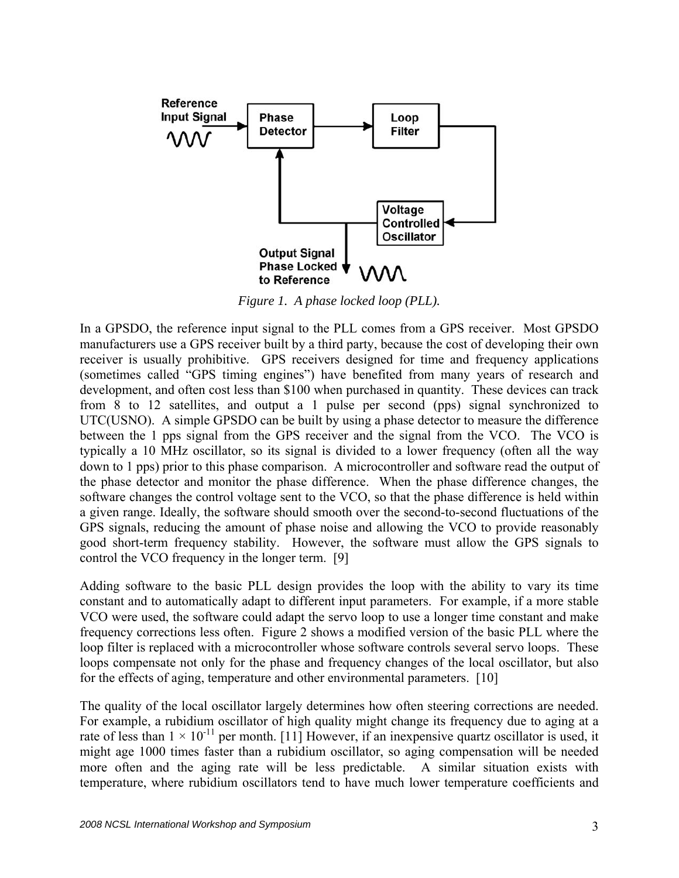

*Figure 1. A phase locked loop (PLL).* 

In a GPSDO, the reference input signal to the PLL comes from a GPS receiver. Most GPSDO manufacturers use a GPS receiver built by a third party, because the cost of developing their own receiver is usually prohibitive. GPS receivers designed for time and frequency applications (sometimes called "GPS timing engines") have benefited from many years of research and development, and often cost less than \$100 when purchased in quantity. These devices can track from 8 to 12 satellites, and output a 1 pulse per second (pps) signal synchronized to UTC(USNO). A simple GPSDO can be built by using a phase detector to measure the difference between the 1 pps signal from the GPS receiver and the signal from the VCO. The VCO is typically a 10 MHz oscillator, so its signal is divided to a lower frequency (often all the way down to 1 pps) prior to this phase comparison. A microcontroller and software read the output of the phase detector and monitor the phase difference. When the phase difference changes, the software changes the control voltage sent to the VCO, so that the phase difference is held within a given range. Ideally, the software should smooth over the second-to-second fluctuations of the GPS signals, reducing the amount of phase noise and allowing the VCO to provide reasonably good short-term frequency stability. However, the software must allow the GPS signals to control the VCO frequency in the longer term. [9]

Adding software to the basic PLL design provides the loop with the ability to vary its time constant and to automatically adapt to different input parameters. For example, if a more stable VCO were used, the software could adapt the servo loop to use a longer time constant and make frequency corrections less often. Figure 2 shows a modified version of the basic PLL where the loop filter is replaced with a microcontroller whose software controls several servo loops. These loops compensate not only for the phase and frequency changes of the local oscillator, but also for the effects of aging, temperature and other environmental parameters. [10]

The quality of the local oscillator largely determines how often steering corrections are needed. For example, a rubidium oscillator of high quality might change its frequency due to aging at a rate of less than  $1 \times 10^{-11}$  per month. [11] However, if an inexpensive quartz oscillator is used, it might age 1000 times faster than a rubidium oscillator, so aging compensation will be needed more often and the aging rate will be less predictable. A similar situation exists with temperature, where rubidium oscillators tend to have much lower temperature coefficients and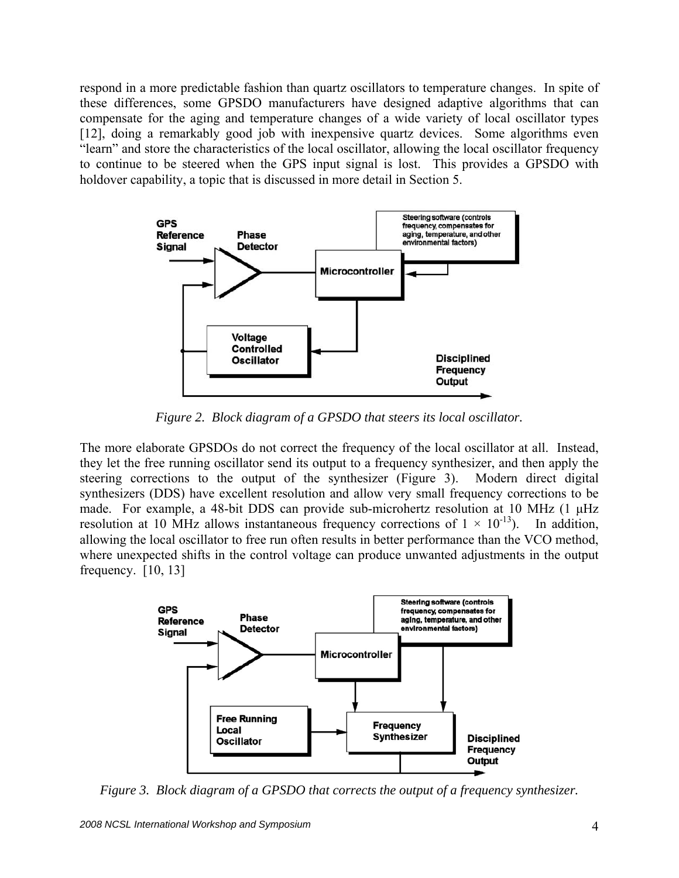respond in a more predictable fashion than quartz oscillators to temperature changes. In spite of these differences, some GPSDO manufacturers have designed adaptive algorithms that can compensate for the aging and temperature changes of a wide variety of local oscillator types [12], doing a remarkably good job with inexpensive quartz devices. Some algorithms even "learn" and store the characteristics of the local oscillator, allowing the local oscillator frequency to continue to be steered when the GPS input signal is lost. This provides a GPSDO with holdover capability, a topic that is discussed in more detail in Section 5.



*Figure 2. Block diagram of a GPSDO that steers its local oscillator.* 

The more elaborate GPSDOs do not correct the frequency of the local oscillator at all. Instead, they let the free running oscillator send its output to a frequency synthesizer, and then apply the steering corrections to the output of the synthesizer (Figure 3). Modern direct digital synthesizers (DDS) have excellent resolution and allow very small frequency corrections to be made. For example, a 48-bit DDS can provide sub-microhertz resolution at 10 MHz (1 μHz resolution at 10 MHz allows instantaneous frequency corrections of  $1 \times 10^{-13}$ ). In addition, allowing the local oscillator to free run often results in better performance than the VCO method, where unexpected shifts in the control voltage can produce unwanted adjustments in the output frequency. [10, 13]



*Figure 3. Block diagram of a GPSDO that corrects the output of a frequency synthesizer.*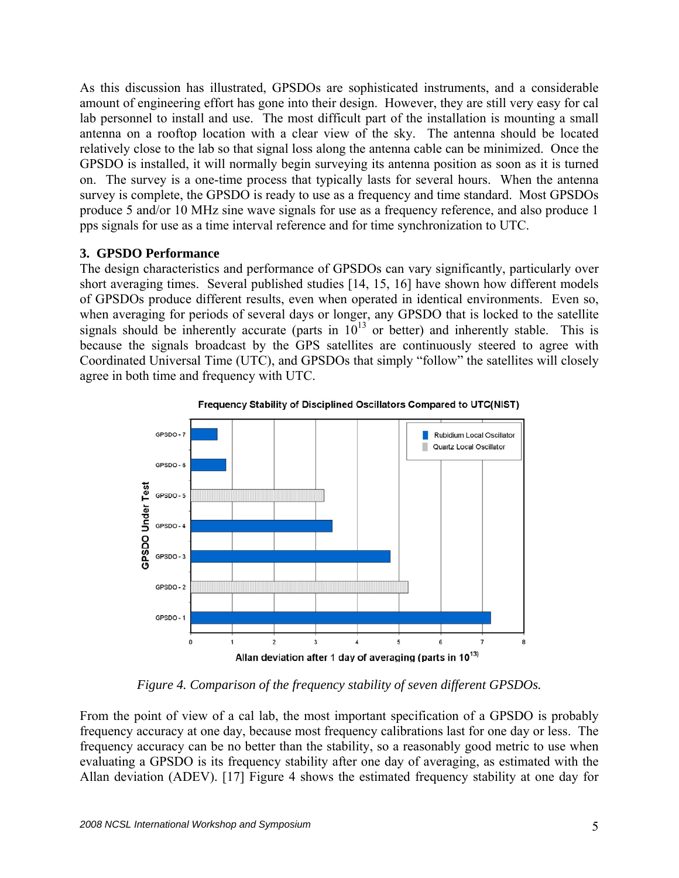As this discussion has illustrated, GPSDOs are sophisticated instruments, and a considerable amount of engineering effort has gone into their design. However, they are still very easy for cal lab personnel to install and use. The most difficult part of the installation is mounting a small antenna on a rooftop location with a clear view of the sky. The antenna should be located relatively close to the lab so that signal loss along the antenna cable can be minimized. Once the GPSDO is installed, it will normally begin surveying its antenna position as soon as it is turned on. The survey is a one-time process that typically lasts for several hours. When the antenna survey is complete, the GPSDO is ready to use as a frequency and time standard. Most GPSDOs produce 5 and/or 10 MHz sine wave signals for use as a frequency reference, and also produce 1 pps signals for use as a time interval reference and for time synchronization to UTC.

## **3. GPSDO Performance**

The design characteristics and performance of GPSDOs can vary significantly, particularly over short averaging times. Several published studies [14, 15, 16] have shown how different models of GPSDOs produce different results, even when operated in identical environments. Even so, when averaging for periods of several days or longer, any GPSDO that is locked to the satellite signals should be inherently accurate (parts in  $10^{13}$  or better) and inherently stable. This is because the signals broadcast by the GPS satellites are continuously steered to agree with Coordinated Universal Time (UTC), and GPSDOs that simply "follow" the satellites will closely agree in both time and frequency with UTC.



Frequency Stability of Disciplined Oscillators Compared to UTC(NIST)

*Figure 4. Comparison of the frequency stability of seven different GPSDOs.* 

From the point of view of a cal lab, the most important specification of a GPSDO is probably frequency accuracy at one day, because most frequency calibrations last for one day or less. The frequency accuracy can be no better than the stability, so a reasonably good metric to use when evaluating a GPSDO is its frequency stability after one day of averaging, as estimated with the Allan deviation (ADEV). [17] Figure 4 shows the estimated frequency stability at one day for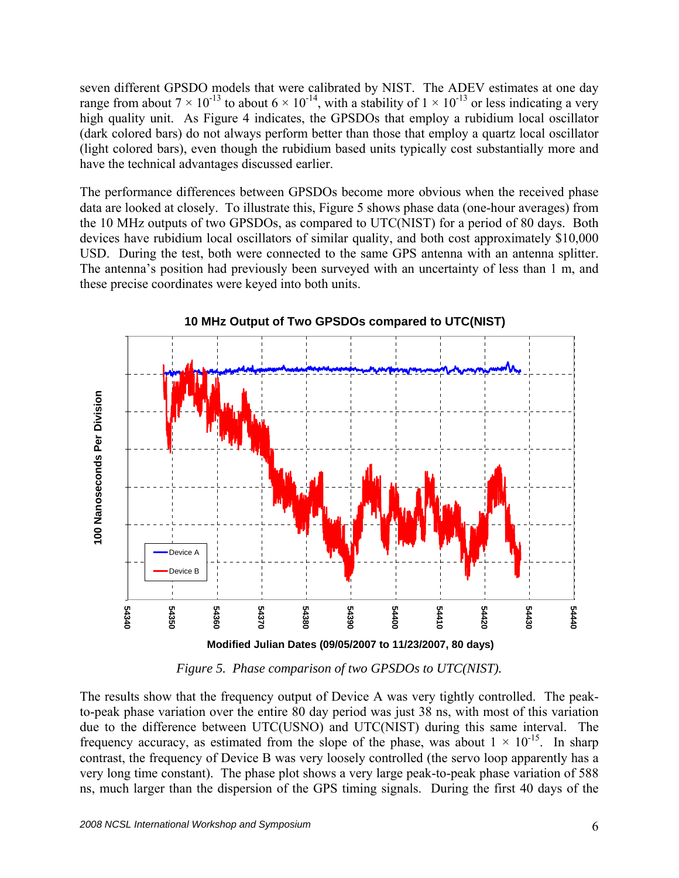seven different GPSDO models that were calibrated by NIST. The ADEV estimates at one day range from about  $7 \times 10^{-13}$  to about  $6 \times 10^{-14}$ , with a stability of  $1 \times 10^{-13}$  or less indicating a very high quality unit. As Figure 4 indicates, the GPSDOs that employ a rubidium local oscillator (dark colored bars) do not always perform better than those that employ a quartz local oscillator (light colored bars), even though the rubidium based units typically cost substantially more and have the technical advantages discussed earlier.

The performance differences between GPSDOs become more obvious when the received phase data are looked at closely. To illustrate this, Figure 5 shows phase data (one-hour averages) from the 10 MHz outputs of two GPSDOs, as compared to UTC(NIST) for a period of 80 days. Both devices have rubidium local oscillators of similar quality, and both cost approximately \$10,000 USD. During the test, both were connected to the same GPS antenna with an antenna splitter. The antenna's position had previously been surveyed with an uncertainty of less than 1 m, and these precise coordinates were keyed into both units.



**10 MHz Output of Two GPSDOs compared to UTC(NIST)**

*Figure 5. Phase comparison of two GPSDOs to UTC(NIST).* 

The results show that the frequency output of Device A was very tightly controlled. The peakto-peak phase variation over the entire 80 day period was just 38 ns, with most of this variation due to the difference between UTC(USNO) and UTC(NIST) during this same interval. The frequency accuracy, as estimated from the slope of the phase, was about  $1 \times 10^{-15}$ . In sharp contrast, the frequency of Device B was very loosely controlled (the servo loop apparently has a very long time constant). The phase plot shows a very large peak-to-peak phase variation of 588 ns, much larger than the dispersion of the GPS timing signals. During the first 40 days of the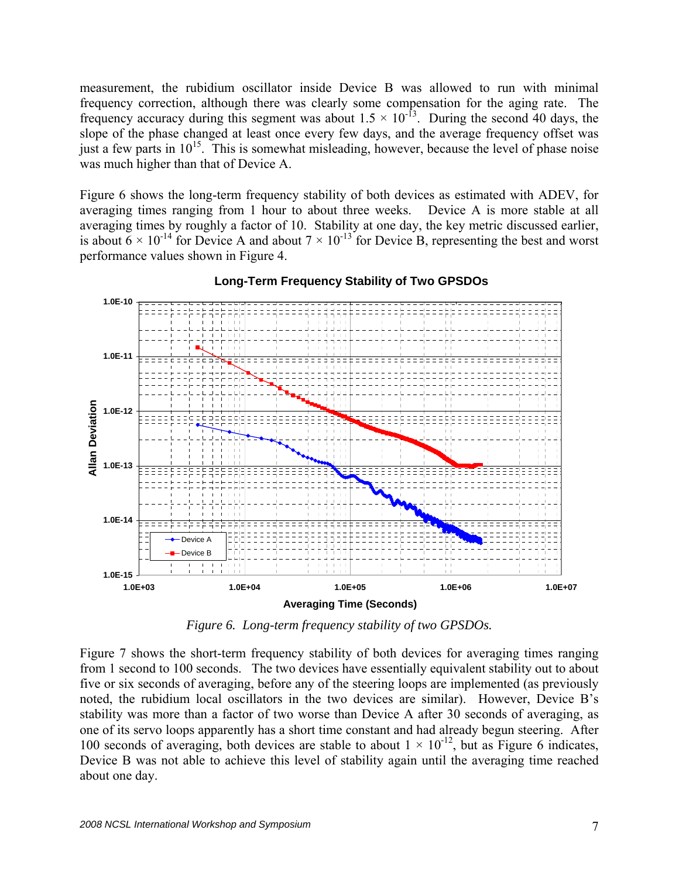measurement, the rubidium oscillator inside Device B was allowed to run with minimal frequency correction, although there was clearly some compensation for the aging rate. The frequency accuracy during this segment was about  $1.5 \times 10^{-13}$ . During the second 40 days, the slope of the phase changed at least once every few days, and the average frequency offset was just a few parts in  $10^{15}$ . This is somewhat misleading, however, because the level of phase noise was much higher than that of Device A.

Figure 6 shows the long-term frequency stability of both devices as estimated with ADEV, for averaging times ranging from 1 hour to about three weeks. Device A is more stable at all averaging times by roughly a factor of 10. Stability at one day, the key metric discussed earlier, is about  $6 \times 10^{-14}$  for Device A and about  $7 \times 10^{-13}$  for Device B, representing the best and worst performance values shown in Figure 4.



**Long-Term Frequency Stability of Two GPSDOs**

*Figure 6. Long-term frequency stability of two GPSDOs.* 

Figure 7 shows the short-term frequency stability of both devices for averaging times ranging from 1 second to 100 seconds. The two devices have essentially equivalent stability out to about five or six seconds of averaging, before any of the steering loops are implemented (as previously noted, the rubidium local oscillators in the two devices are similar). However, Device B's stability was more than a factor of two worse than Device A after 30 seconds of averaging, as one of its servo loops apparently has a short time constant and had already begun steering. After 100 seconds of averaging, both devices are stable to about  $1 \times 10^{-12}$ , but as Figure 6 indicates, Device B was not able to achieve this level of stability again until the averaging time reached about one day.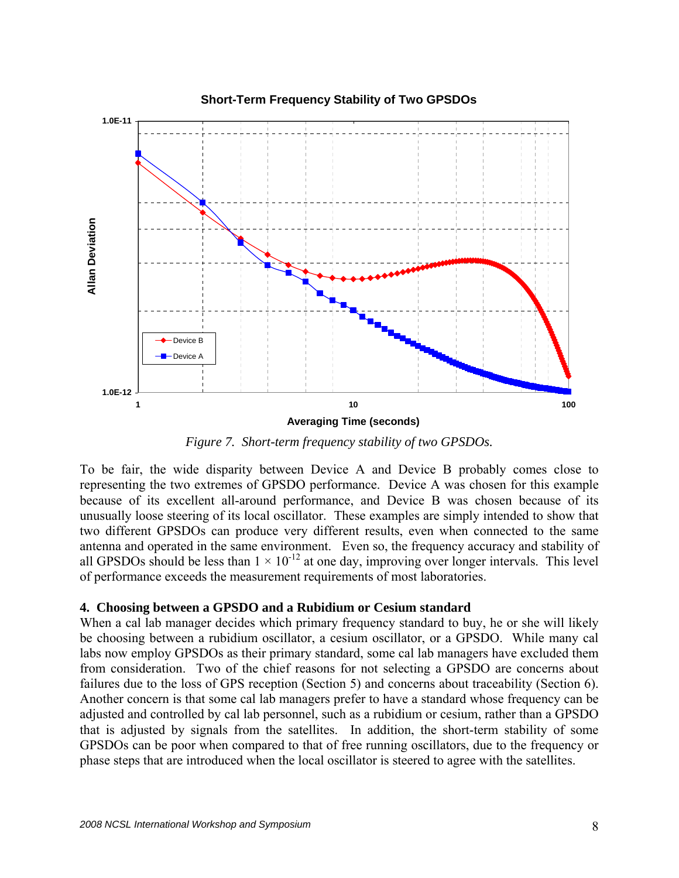

*Figure 7. Short-term frequency stability of two GPSDOs.* 

To be fair, the wide disparity between Device A and Device B probably comes close to representing the two extremes of GPSDO performance. Device A was chosen for this example because of its excellent all-around performance, and Device B was chosen because of its unusually loose steering of its local oscillator. These examples are simply intended to show that two different GPSDOs can produce very different results, even when connected to the same antenna and operated in the same environment. Even so, the frequency accuracy and stability of all GPSDOs should be less than  $1 \times 10^{-12}$  at one day, improving over longer intervals. This level of performance exceeds the measurement requirements of most laboratories.

## **4. Choosing between a GPSDO and a Rubidium or Cesium standard**

When a cal lab manager decides which primary frequency standard to buy, he or she will likely be choosing between a rubidium oscillator, a cesium oscillator, or a GPSDO. While many cal labs now employ GPSDOs as their primary standard, some cal lab managers have excluded them from consideration. Two of the chief reasons for not selecting a GPSDO are concerns about failures due to the loss of GPS reception (Section 5) and concerns about traceability (Section 6). Another concern is that some cal lab managers prefer to have a standard whose frequency can be adjusted and controlled by cal lab personnel, such as a rubidium or cesium, rather than a GPSDO that is adjusted by signals from the satellites. In addition, the short-term stability of some GPSDOs can be poor when compared to that of free running oscillators, due to the frequency or phase steps that are introduced when the local oscillator is steered to agree with the satellites.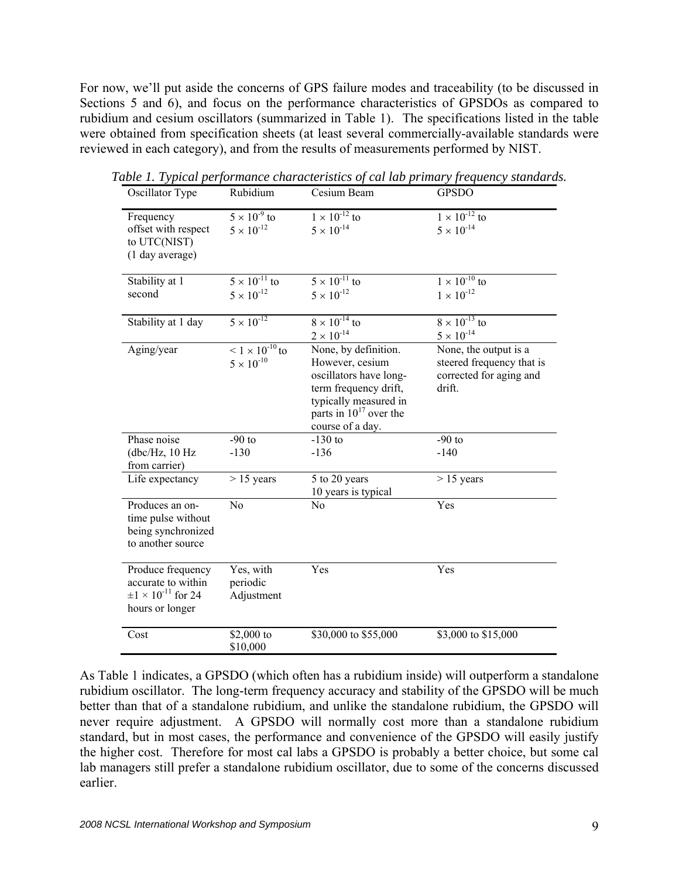For now, we'll put aside the concerns of GPS failure modes and traceability (to be discussed in Sections 5 and 6), and focus on the performance characteristics of GPSDOs as compared to rubidium and cesium oscillators (summarized in Table 1). The specifications listed in the table were obtained from specification sheets (at least several commercially-available standards were reviewed in each category), and from the results of measurements performed by NIST.

| $\sim$ $\sim$ $\sim$ $\sim$ $\sim$ $\sim$ $\sim$ $\sim$<br>Oscillator Type                   | Rubidium                                                | Cesium Beam                                                                                                                                                            | <b>GPSDO</b>                                                                            |
|----------------------------------------------------------------------------------------------|---------------------------------------------------------|------------------------------------------------------------------------------------------------------------------------------------------------------------------------|-----------------------------------------------------------------------------------------|
| Frequency<br>offset with respect<br>to UTC(NIST)<br>(1 day average)                          | $5 \times 10^{-9}$ to<br>$5 \times 10^{-12}$            | $1 \times 10^{-12}$ to<br>$5 \times 10^{-14}$                                                                                                                          | $1 \times 10^{-12}$ to<br>$5 \times 10^{-14}$                                           |
| Stability at 1<br>second                                                                     | $5 \times 10^{-11}$ to<br>$5 \times 10^{-12}$           | $5 \times 10^{-11}$ to<br>$5 \times 10^{-12}$                                                                                                                          | $1 \times 10^{-10}$ to<br>$1 \times 10^{-12}$                                           |
| Stability at 1 day                                                                           | $5 \times 10^{-12}$                                     | $8 \times 10^{-14}$ to<br>$2\times10^{\text{-}14}$                                                                                                                     | $8 \times 10^{-13}$ to<br>$5 \times 10^{-14}$                                           |
| Aging/year                                                                                   | $\leq 1 \times 10^{-10}$ to<br>$5\times10^{\text{-}10}$ | None, by definition.<br>However, cesium<br>oscillators have long-<br>term frequency drift,<br>typically measured in<br>parts in $10^{17}$ over the<br>course of a day. | None, the output is a<br>steered frequency that is<br>corrected for aging and<br>drift. |
| Phase noise<br>(dbc/Hz, 10 Hz)<br>from carrier)                                              | $-90$ to<br>$-130$                                      | $-130$ to<br>$-136$                                                                                                                                                    | $-90$ to<br>$-140$                                                                      |
| Life expectancy                                                                              | $> 15$ years                                            | 5 to 20 years<br>10 years is typical                                                                                                                                   | $> 15$ years                                                                            |
| Produces an on-<br>time pulse without<br>being synchronized<br>to another source             | N <sub>o</sub>                                          | N <sub>o</sub>                                                                                                                                                         | Yes                                                                                     |
| Produce frequency<br>accurate to within<br>$\pm 1 \times 10^{-11}$ for 24<br>hours or longer | Yes, with<br>periodic<br>Adjustment                     | Yes                                                                                                                                                                    | Yes                                                                                     |
| Cost                                                                                         | \$2,000 to<br>\$10,000                                  | \$30,000 to \$55,000                                                                                                                                                   | \$3,000 to \$15,000                                                                     |

*Table 1. Typical performance characteristics of cal lab primary frequency standards.* 

As Table 1 indicates, a GPSDO (which often has a rubidium inside) will outperform a standalone rubidium oscillator. The long-term frequency accuracy and stability of the GPSDO will be much better than that of a standalone rubidium, and unlike the standalone rubidium, the GPSDO will never require adjustment. A GPSDO will normally cost more than a standalone rubidium standard, but in most cases, the performance and convenience of the GPSDO will easily justify the higher cost. Therefore for most cal labs a GPSDO is probably a better choice, but some cal lab managers still prefer a standalone rubidium oscillator, due to some of the concerns discussed earlier.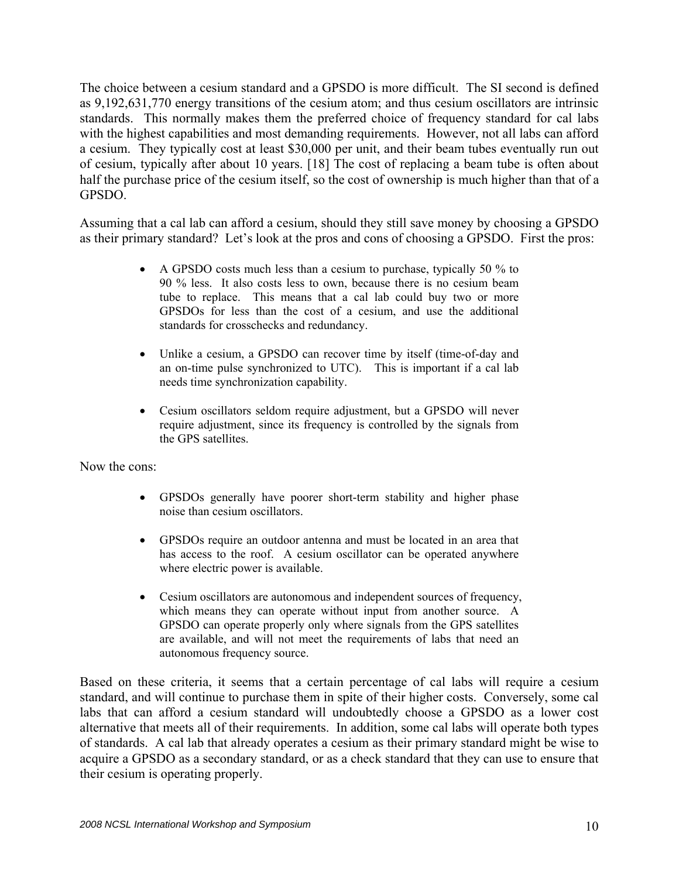The choice between a cesium standard and a GPSDO is more difficult. The SI second is defined as 9,192,631,770 energy transitions of the cesium atom; and thus cesium oscillators are intrinsic standards. This normally makes them the preferred choice of frequency standard for cal labs with the highest capabilities and most demanding requirements. However, not all labs can afford a cesium. They typically cost at least \$30,000 per unit, and their beam tubes eventually run out of cesium, typically after about 10 years. [18] The cost of replacing a beam tube is often about half the purchase price of the cesium itself, so the cost of ownership is much higher than that of a GPSDO.

Assuming that a cal lab can afford a cesium, should they still save money by choosing a GPSDO as their primary standard? Let's look at the pros and cons of choosing a GPSDO. First the pros:

- A GPSDO costs much less than a cesium to purchase, typically 50 % to 90 % less. It also costs less to own, because there is no cesium beam tube to replace. This means that a cal lab could buy two or more GPSDOs for less than the cost of a cesium, and use the additional standards for crosschecks and redundancy.
- Unlike a cesium, a GPSDO can recover time by itself (time-of-day and an on-time pulse synchronized to UTC). This is important if a cal lab needs time synchronization capability.
- Cesium oscillators seldom require adjustment, but a GPSDO will never require adjustment, since its frequency is controlled by the signals from the GPS satellites.

Now the cons:

- GPSDOs generally have poorer short-term stability and higher phase noise than cesium oscillators.
- GPSDOs require an outdoor antenna and must be located in an area that has access to the roof. A cesium oscillator can be operated anywhere where electric power is available.
- Cesium oscillators are autonomous and independent sources of frequency, which means they can operate without input from another source. A GPSDO can operate properly only where signals from the GPS satellites are available, and will not meet the requirements of labs that need an autonomous frequency source.

Based on these criteria, it seems that a certain percentage of cal labs will require a cesium standard, and will continue to purchase them in spite of their higher costs. Conversely, some cal labs that can afford a cesium standard will undoubtedly choose a GPSDO as a lower cost alternative that meets all of their requirements. In addition, some cal labs will operate both types of standards. A cal lab that already operates a cesium as their primary standard might be wise to acquire a GPSDO as a secondary standard, or as a check standard that they can use to ensure that their cesium is operating properly.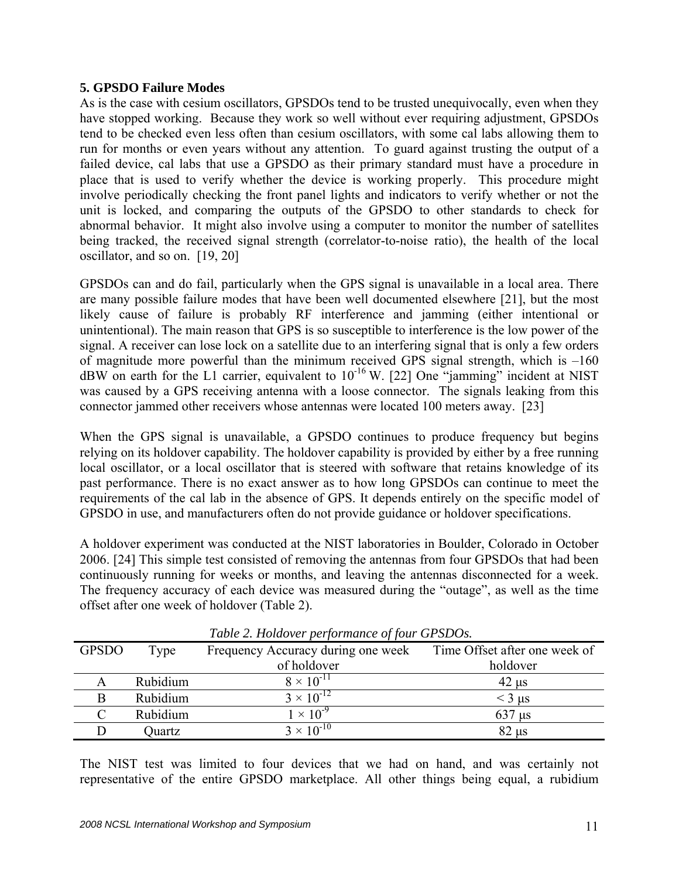### **5. GPSDO Failure Modes**

As is the case with cesium oscillators, GPSDOs tend to be trusted unequivocally, even when they have stopped working. Because they work so well without ever requiring adjustment, GPSDOs tend to be checked even less often than cesium oscillators, with some cal labs allowing them to run for months or even years without any attention. To guard against trusting the output of a failed device, cal labs that use a GPSDO as their primary standard must have a procedure in place that is used to verify whether the device is working properly. This procedure might involve periodically checking the front panel lights and indicators to verify whether or not the unit is locked, and comparing the outputs of the GPSDO to other standards to check for abnormal behavior. It might also involve using a computer to monitor the number of satellites being tracked, the received signal strength (correlator-to-noise ratio), the health of the local oscillator, and so on. [19, 20]

GPSDOs can and do fail, particularly when the GPS signal is unavailable in a local area. There are many possible failure modes that have been well documented elsewhere [21], but the most likely cause of failure is probably RF interference and jamming (either intentional or unintentional). The main reason that GPS is so susceptible to interference is the low power of the signal. A receiver can lose lock on a satellite due to an interfering signal that is only a few orders of magnitude more powerful than the minimum received GPS signal strength, which is –160 dBW on earth for the L1 carrier, equivalent to  $10^{-16}$  W. [22] One "jamming" incident at NIST was caused by a GPS receiving antenna with a loose connector. The signals leaking from this connector jammed other receivers whose antennas were located 100 meters away. [23]

When the GPS signal is unavailable, a GPSDO continues to produce frequency but begins relying on its holdover capability. The holdover capability is provided by either by a free running local oscillator, or a local oscillator that is steered with software that retains knowledge of its past performance. There is no exact answer as to how long GPSDOs can continue to meet the requirements of the cal lab in the absence of GPS. It depends entirely on the specific model of GPSDO in use, and manufacturers often do not provide guidance or holdover specifications.

A holdover experiment was conducted at the NIST laboratories in Boulder, Colorado in October 2006. [24] This simple test consisted of removing the antennas from four GPSDOs that had been continuously running for weeks or months, and leaving the antennas disconnected for a week. The frequency accuracy of each device was measured during the "outage", as well as the time offset after one week of holdover (Table 2).

|              |          | $\boldsymbol{v}$                   |                               |
|--------------|----------|------------------------------------|-------------------------------|
| <b>GPSDO</b> | Type     | Frequency Accuracy during one week | Time Offset after one week of |
|              |          | of holdover                        | holdover                      |
|              | Rubidium | $8 \times 10^{-11}$                | $42 \mu s$                    |
|              | Rubidium | $3 \times 10^{-12}$                | $<$ 3 $\mu$ s                 |
|              | Rubidium | $1 \times 10^{-9}$                 | $637 \text{ }\mu\text{s}$     |
|              | Quartz   | $3 \times 10^{-10}$                | $82 \text{ }\mu\text{s}$      |

 *Table 2. Holdover performance of four GPSDOs.* 

The NIST test was limited to four devices that we had on hand, and was certainly not representative of the entire GPSDO marketplace. All other things being equal, a rubidium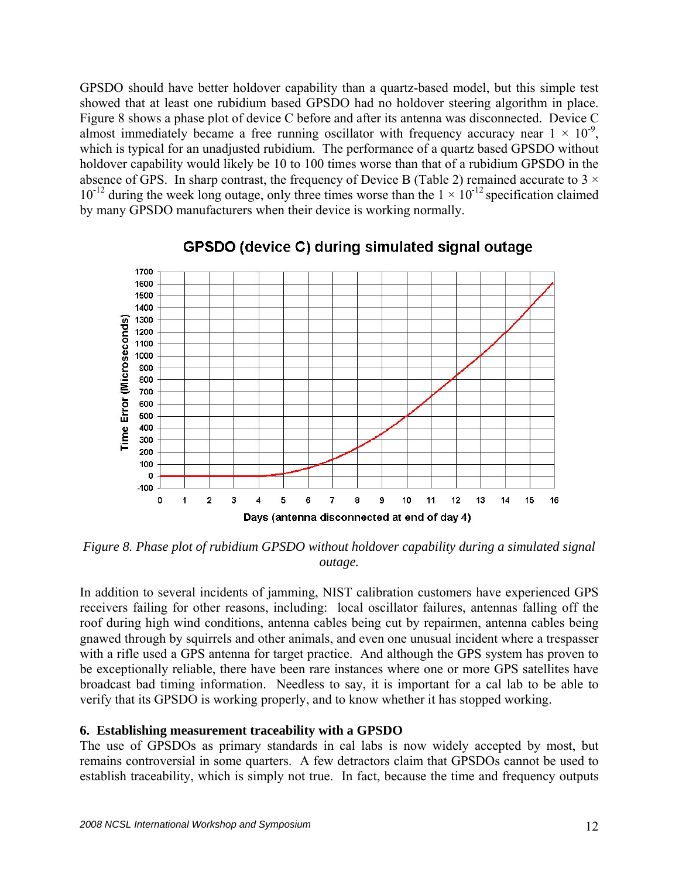GPSDO should have better holdover capability than a quartz-based model, but this simple test showed that at least one rubidium based GPSDO had no holdover steering algorithm in place. Figure 8 shows a phase plot of device C before and after its antenna was disconnected. Device C almost immediately became a free running oscillator with frequency accuracy near  $1 \times 10^{-9}$ , which is typical for an unadjusted rubidium. The performance of a quartz based GPSDO without holdover capability would likely be 10 to 100 times worse than that of a rubidium GPSDO in the absence of GPS. In sharp contrast, the frequency of Device B (Table 2) remained accurate to  $3 \times$  $10^{-12}$  during the week long outage, only three times worse than the  $1 \times 10^{-12}$  specification claimed by many GPSDO manufacturers when their device is working normally.



# GPSDO (device C) during simulated signal outage

*Figure 8. Phase plot of rubidium GPSDO without holdover capability during a simulated signal outage.* 

In addition to several incidents of jamming, NIST calibration customers have experienced GPS receivers failing for other reasons, including: local oscillator failures, antennas falling off the roof during high wind conditions, antenna cables being cut by repairmen, antenna cables being gnawed through by squirrels and other animals, and even one unusual incident where a trespasser with a rifle used a GPS antenna for target practice. And although the GPS system has proven to be exceptionally reliable, there have been rare instances where one or more GPS satellites have broadcast bad timing information. Needless to say, it is important for a cal lab to be able to verify that its GPSDO is working properly, and to know whether it has stopped working.

## **6. Establishing measurement traceability with a GPSDO**

The use of GPSDOs as primary standards in cal labs is now widely accepted by most, but remains controversial in some quarters. A few detractors claim that GPSDOs cannot be used to establish traceability, which is simply not true. In fact, because the time and frequency outputs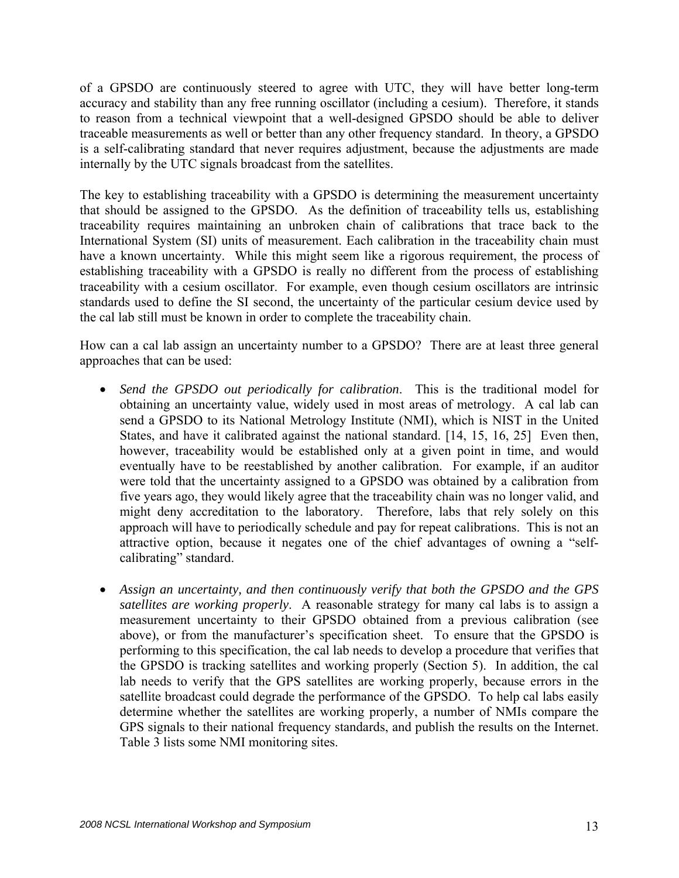of a GPSDO are continuously steered to agree with UTC, they will have better long-term accuracy and stability than any free running oscillator (including a cesium). Therefore, it stands to reason from a technical viewpoint that a well-designed GPSDO should be able to deliver traceable measurements as well or better than any other frequency standard. In theory, a GPSDO is a self-calibrating standard that never requires adjustment, because the adjustments are made internally by the UTC signals broadcast from the satellites.

The key to establishing traceability with a GPSDO is determining the measurement uncertainty that should be assigned to the GPSDO. As the definition of traceability tells us, establishing traceability requires maintaining an unbroken chain of calibrations that trace back to the International System (SI) units of measurement. Each calibration in the traceability chain must have a known uncertainty. While this might seem like a rigorous requirement, the process of establishing traceability with a GPSDO is really no different from the process of establishing traceability with a cesium oscillator. For example, even though cesium oscillators are intrinsic standards used to define the SI second, the uncertainty of the particular cesium device used by the cal lab still must be known in order to complete the traceability chain.

How can a cal lab assign an uncertainty number to a GPSDO? There are at least three general approaches that can be used:

- *Send the GPSDO out periodically for calibration*. This is the traditional model for obtaining an uncertainty value, widely used in most areas of metrology. A cal lab can send a GPSDO to its National Metrology Institute (NMI), which is NIST in the United States, and have it calibrated against the national standard. [14, 15, 16, 25] Even then, however, traceability would be established only at a given point in time, and would eventually have to be reestablished by another calibration. For example, if an auditor were told that the uncertainty assigned to a GPSDO was obtained by a calibration from five years ago, they would likely agree that the traceability chain was no longer valid, and might deny accreditation to the laboratory. Therefore, labs that rely solely on this approach will have to periodically schedule and pay for repeat calibrations. This is not an attractive option, because it negates one of the chief advantages of owning a "selfcalibrating" standard.
- *Assign an uncertainty, and then continuously verify that both the GPSDO and the GPS satellites are working properly*. A reasonable strategy for many cal labs is to assign a measurement uncertainty to their GPSDO obtained from a previous calibration (see above), or from the manufacturer's specification sheet. To ensure that the GPSDO is performing to this specification, the cal lab needs to develop a procedure that verifies that the GPSDO is tracking satellites and working properly (Section 5). In addition, the cal lab needs to verify that the GPS satellites are working properly, because errors in the satellite broadcast could degrade the performance of the GPSDO. To help cal labs easily determine whether the satellites are working properly, a number of NMIs compare the GPS signals to their national frequency standards, and publish the results on the Internet. Table 3 lists some NMI monitoring sites.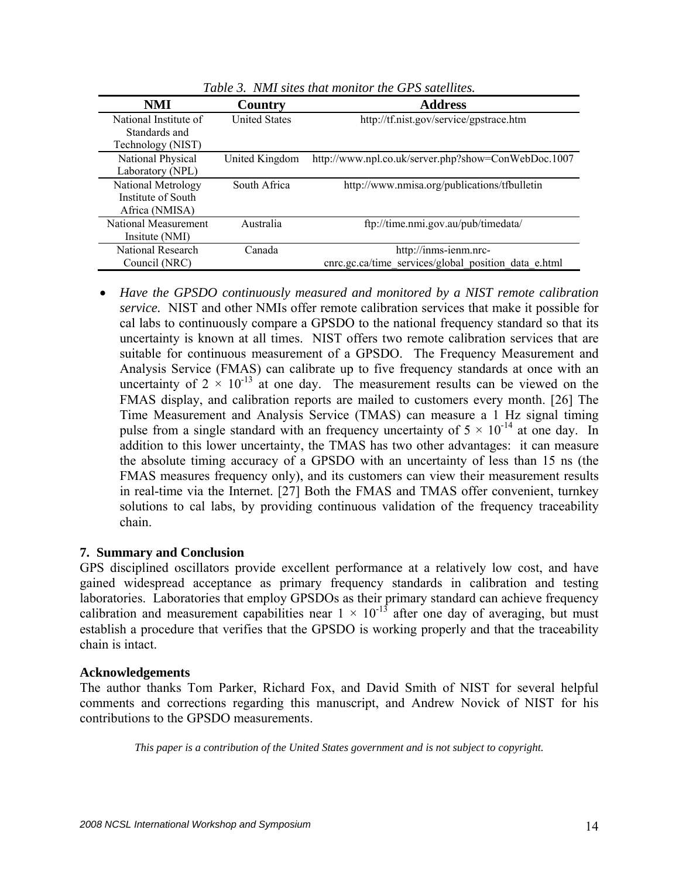| NMI                   | Country              | <b>Address</b>                                       |
|-----------------------|----------------------|------------------------------------------------------|
| National Institute of | <b>United States</b> | http://tf.nist.gov/service/gpstrace.htm              |
| Standards and         |                      |                                                      |
| Technology (NIST)     |                      |                                                      |
| National Physical     | United Kingdom       | http://www.npl.co.uk/server.php?show=ConWebDoc.1007  |
| Laboratory (NPL)      |                      |                                                      |
| National Metrology    | South Africa         | http://www.nmisa.org/publications/tfbulletin         |
| Institute of South    |                      |                                                      |
| Africa (NMISA)        |                      |                                                      |
| National Measurement  | Australia            | ftp://time.nmi.gov.au/pub/timedata/                  |
| Insitute (NMI)        |                      |                                                      |
| National Research     | Canada               | http://inms-ienm.nrc-                                |
| Council (NRC)         |                      | cnrc.gc.ca/time services/global_position_data_e.html |

*Table 3. NMI sites that monitor the GPS satellites.* 

• *Have the GPSDO continuously measured and monitored by a NIST remote calibration service.* NIST and other NMIs offer remote calibration services that make it possible for cal labs to continuously compare a GPSDO to the national frequency standard so that its uncertainty is known at all times. NIST offers two remote calibration services that are suitable for continuous measurement of a GPSDO. The Frequency Measurement and Analysis Service (FMAS) can calibrate up to five frequency standards at once with an uncertainty of  $2 \times 10^{-13}$  at one day. The measurement results can be viewed on the FMAS display, and calibration reports are mailed to customers every month. [26] The Time Measurement and Analysis Service (TMAS) can measure a 1 Hz signal timing pulse from a single standard with an frequency uncertainty of  $5 \times 10^{-14}$  at one day. In addition to this lower uncertainty, the TMAS has two other advantages: it can measure the absolute timing accuracy of a GPSDO with an uncertainty of less than 15 ns (the FMAS measures frequency only), and its customers can view their measurement results in real-time via the Internet. [27] Both the FMAS and TMAS offer convenient, turnkey solutions to cal labs, by providing continuous validation of the frequency traceability chain.

### **7. Summary and Conclusion**

GPS disciplined oscillators provide excellent performance at a relatively low cost, and have gained widespread acceptance as primary frequency standards in calibration and testing laboratories. Laboratories that employ GPSDOs as their primary standard can achieve frequency calibration and measurement capabilities near  $1 \times 10^{-13}$  after one day of averaging, but must establish a procedure that verifies that the GPSDO is working properly and that the traceability chain is intact.

### **Acknowledgements**

The author thanks Tom Parker, Richard Fox, and David Smith of NIST for several helpful comments and corrections regarding this manuscript, and Andrew Novick of NIST for his contributions to the GPSDO measurements.

*This paper is a contribution of the United States government and is not subject to copyright.*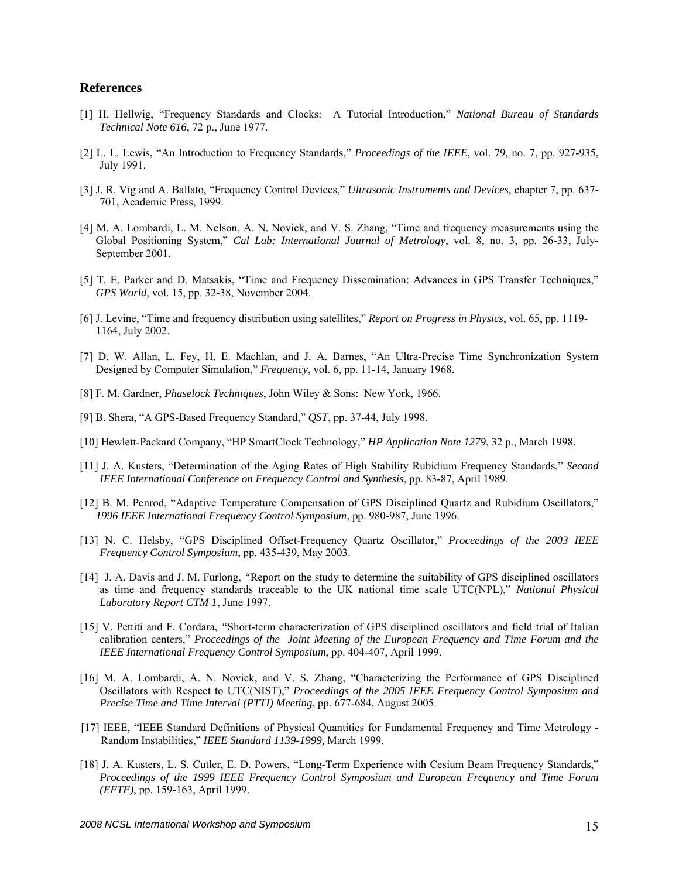#### **References**

- [1] H. Hellwig, "Frequency Standards and Clocks: A Tutorial Introduction," *National Bureau of Standards Technical Note 616*, 72 p., June 1977.
- [2] L. L. Lewis, "An Introduction to Frequency Standards," *Proceedings of the IEEE*, vol. 79, no. 7, pp. 927-935, July 1991.
- [3] J. R. Vig and A. Ballato, "Frequency Control Devices," *Ultrasonic Instruments and Devices*, chapter 7, pp. 637- 701, Academic Press, 1999.
- [4] M. A. Lombardi, L. M. Nelson, A. N. Novick, and V. S. Zhang, "Time and frequency measurements using the Global Positioning System," *Cal Lab: International Journal of Metrology*, vol. 8, no. 3, pp. 26-33, July-September 2001.
- [5] T. E. Parker and D. Matsakis, "Time and Frequency Dissemination: Advances in GPS Transfer Techniques," *GPS World*, vol. 15, pp. 32-38, November 2004.
- [6] J. Levine, "Time and frequency distribution using satellites," *Report on Progress in Physics*, vol. 65, pp. 1119- 1164, July 2002.
- [7] D. W. Allan, L. Fey, H. E. Machlan, and J. A. Barnes, "An Ultra-Precise Time Synchronization System Designed by Computer Simulation," *Frequency*, vol. 6, pp. 11-14, January 1968.
- [8] F. M. Gardner, *Phaselock Techniques*, John Wiley & Sons: New York, 1966.
- [9] B. Shera, "A GPS-Based Frequency Standard," *QST*, pp. 37-44, July 1998.
- [10] Hewlett-Packard Company, "HP SmartClock Technology," *HP Application Note 1279*, 32 p., March 1998.
- [11] J. A. Kusters, "Determination of the Aging Rates of High Stability Rubidium Frequency Standards," *Second IEEE International Conference on Frequency Control and Synthesis*, pp. 83-87, April 1989.
- [12] B. M. Penrod, "Adaptive Temperature Compensation of GPS Disciplined Quartz and Rubidium Oscillators," *1996 IEEE International Frequency Control Symposium*, pp. 980-987, June 1996.
- [13] N. C. Helsby, "GPS Disciplined Offset-Frequency Quartz Oscillator," *Proceedings of the 2003 IEEE Frequency Control Symposium*, pp. 435-439, May 2003.
- [14] J. A. Davis and J. M. Furlong, *"*Report on the study to determine the suitability of GPS disciplined oscillators as time and frequency standards traceable to the UK national time scale UTC(NPL)," *National Physical Laboratory Report CTM 1*, June 1997.
- [15] V. Pettiti and F. Cordara, *"*Short-term characterization of GPS disciplined oscillators and field trial of Italian calibration centers," *Proceedings of the Joint Meeting of the European Frequency and Time Forum and the IEEE International Frequency Control Symposium*, pp. 404-407, April 1999.
- [16] M. A. Lombardi, A. N. Novick, and V. S. Zhang, "Characterizing the Performance of GPS Disciplined Oscillators with Respect to UTC(NIST)," *Proceedings of the 2005 IEEE Frequency Control Symposium and Precise Time and Time Interval (PTTI) Meeting*, pp. 677-684, August 2005.
- [17] IEEE, "IEEE Standard Definitions of Physical Quantities for Fundamental Frequency and Time Metrology Random Instabilities," *IEEE Standard 1139-1999,* March 1999.
- [18] J. A. Kusters, L. S. Cutler, E. D. Powers, "Long-Term Experience with Cesium Beam Frequency Standards," *Proceedings of the 1999 IEEE Frequency Control Symposium and European Frequency and Time Forum (EFTF)*, pp. 159-163, April 1999.